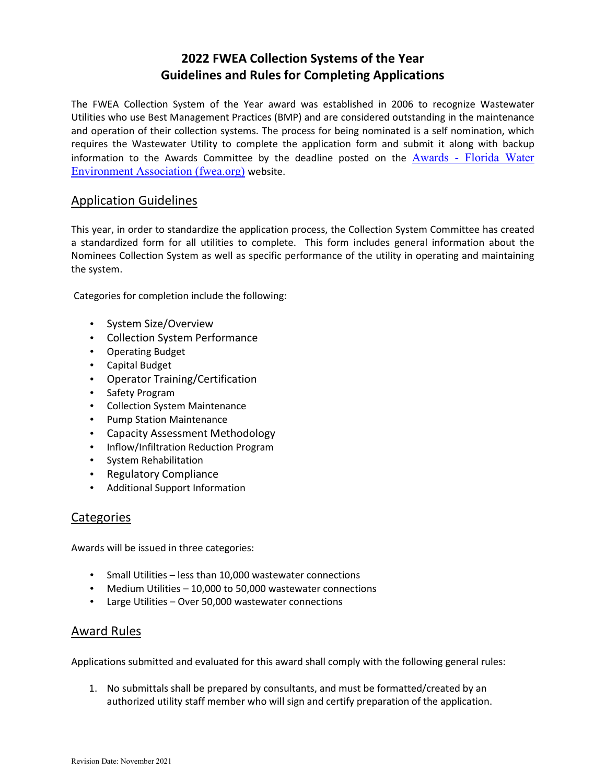## **2022 FWEA Collection Systems of the Year Guidelines and Rules for Completing Applications**

The FWEA Collection System of the Year award was established in 2006 to recognize Wastewater Utilities who use Best Management Practices (BMP) and are considered outstanding in the maintenance and operation of their collection systems. The process for being nominated is a self nomination, which requires the Wastewater Utility to complete the application form and submit it along with backup information to the Awards Committee by the deadline posted on the  $\overline{\text{Awards}}$  - Florida Water Environment Association (fwea.org) website.

## Application Guidelines

This year, in order to standardize the application process, the Collection System Committee has created a standardized form for all utilities to complete. This form includes general information about the Nominees Collection System as well as specific performance of the utility in operating and maintaining the system.

Categories for completion include the following:

- System Size/Overview
- Collection System Performance
- Operating Budget
- Capital Budget
- Operator Training/Certification
- Safety Program
- Collection System Maintenance
- Pump Station Maintenance
- Capacity Assessment Methodology
- Inflow/Infiltration Reduction Program
- System Rehabilitation
- Regulatory Compliance
- Additional Support Information

## **Categories**

Awards will be issued in three categories:

- Small Utilities less than 10,000 wastewater connections
- Medium Utilities 10,000 to 50,000 wastewater connections
- Large Utilities Over 50,000 wastewater connections

## Award Rules

Applications submitted and evaluated for this award shall comply with the following general rules:

1. No submittals shall be prepared by consultants, and must be formatted/created by an authorized utility staff member who will sign and certify preparation of the application.